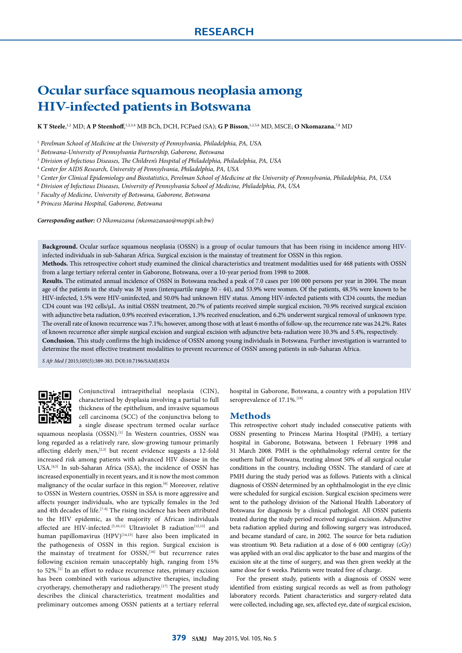# **Ocular surface squamous neoplasia among HIV-infected patients in Botswana**

 $\bf{K}$  T Steele,  $^{1,2}$  MD;  $\bf{A}$  P Steenhoff,  $^{1,2,3,4}$  MB BCh, DCH, FCPaed (SA);  $\bf{G}$  P Bisson,  $^{1,2,5,6}$  MD, MSCE;  $\bf{O}$  Nkomazana, $^{7,8}$  MD

<sup>1</sup> *Perelman School of Medicine at the University of Pennsylvania, Philadelphia, PA, US*A

<sup>2</sup> *Botswana-University of Pennsylvania Partnership, Gaborone, Botswana*

<sup>3</sup> *Division of Infectious Diseases, The Children's Hospital of Philadelphia, Philadelphia, PA, USA*

<sup>4</sup> *Center for AIDS Research, University of Pennsylvania, Philadelphia, PA, USA*

<sup>5</sup> *Center for Clinical Epidemiology and Biostatistics, Perelman School of Medicine at the University of Pennsylvania, Philadelphia, PA, USA*

<sup>6</sup> *Division of Infectious Diseases, University of Pennsylvania School of Medicine, Philadelphia, PA, USA*

<sup>7</sup> *Faculty of Medicine, University of Botswana, Gaborone, Botswana*

<sup>8</sup> *Princess Marina Hospital, Gaborone, Botswana*

*Corresponding author: O Nkomazana (nkomazanao@mopipi.ub.bw)*

**Background.** Ocular surface squamous neoplasia (OSSN) is a group of ocular tumours that has been rising in incidence among HIVinfected individuals in sub-Saharan Africa. Surgical excision is the mainstay of treatment for OSSN in this region.

**Methods.** This retrospective cohort study examined the clinical characteristics and treatment modalities used for 468 patients with OSSN from a large tertiary referral center in Gaborone, Botswana, over a 10-year period from 1998 to 2008.

**Results.** The estimated annual incidence of OSSN in Botswana reached a peak of 7.0 cases per 100 000 persons per year in 2004. The mean age of the patients in the study was 38 years (interquartile range 30 - 44), and 53.9% were women. Of the patients, 48.5% were known to be HIV-infected, 1.5% were HIV-uninfected, and 50.0% had unknown HIV status. Among HIV-infected patients with CD4 counts, the median CD4 count was 192 cells/µL. As initial OSSN treatment, 20.7% of patients received simple surgical excision, 70.9% received surgical excision with adjunctive beta radiation, 0.9% received evisceration, 1.3% received enucleation, and 6.2% underwent surgical removal of unknown type. The overall rate of known recurrence was 7.1%; however, among those with at least 6 months of follow-up, the recurrence rate was 24.2%. Rates of known recurrence after simple surgical excision and surgical excision with adjunctive beta-radiation were 10.3% and 5.4%, respectively. **Conclusion.** This study confirms the high incidence of OSSN among young individuals in Botswana. Further investigation is warranted to determine the most effective treatment modalities to prevent recurrence of OSSN among patients in sub-Saharan Africa.

*S Afr Med J* 2015;105(5):389-383. DOI:10.7196/SAMJ.8524



Conjunctival intraepithelial neoplasia (CIN), characterised by dysplasia involving a partial to full thickness of the epithelium, and invasive squamous cell carcinoma (SCC) of the conjunctiva belong to a single disease spectrum termed ocular surface

squamous neoplasia (OSSN).<sup>[1]</sup> In Western countries, OSSN was long regarded as a relatively rare, slow-growing tumour primarily affecting elderly men,<sup>[2,3]</sup> but recent evidence suggests a 12-fold increased risk among patients with advanced HIV disease in the USA.[4,5] In sub-Saharan Africa (SSA), the incidence of OSSN has increased exponentially in recent years, and it is now the most common malignancy of the ocular surface in this region.<sup>[6]</sup> Moreover, relative to OSSN in Western countries, OSSN in SSA is more aggressive and affects younger individuals, who are typically females in the 3rd and 4th decades of life.<sup>[7-9]</sup> The rising incidence has been attributed to the HIV epidemic, as the majority of African individuals affected are HIV-infected.<sup>[5,10,11]</sup> Ultraviolet B radiation<sup>[12,13]</sup> and human papillomavirus (HPV)<sup>[14,15]</sup> have also been implicated in the pathogenesis of OSSN in this region. Surgical excision is the mainstay of treatment for OSSN,<sup>[16]</sup> but recurrence rates following excision remain unacceptably high, ranging from 15% to 52%.[1] In an effort to reduce recurrence rates, primary excision has been combined with various adjunctive therapies, including cryotherapy, chemotherapy and radiotherapy.[17] The present study describes the clinical characteristics, treatment modalities and preliminary outcomes among OSSN patients at a tertiary referral

hospital in Gaborone, Botswana, a country with a population HIV seroprevalence of 17.1%.<sup>[18]</sup>

#### **Methods**

This retrospective cohort study included consecutive patients with OSSN presenting to Princess Marina Hospital (PMH), a tertiary hospital in Gaborone, Botswana, between 1 February 1998 and 31 March 2008. PMH is the ophthalmology referral centre for the southern half of Botswana, treating almost 50% of all surgical ocular conditions in the country, including OSSN. The standard of care at PMH during the study period was as follows. Patients with a clinical diagnosis of OSSN determined by an ophthalmologist in the eye clinic were scheduled for surgical excision. Surgical excision specimens were sent to the pathology division of the National Health Laboratory of Botswana for diagnosis by a clinical pathologist. All OSSN patients treated during the study period received surgical excision. Adjunctive beta radiation applied during and following surgery was introduced, and became standard of care, in 2002. The source for beta radiation was strontium 90. Beta radiation at a dose of 6 000 centigray (cGy) was applied with an oval disc applicator to the base and margins of the excision site at the time of surgery, and was then given weekly at the same dose for 6 weeks. Patients were treated free of charge.

For the present study, patients with a diagnosis of OSSN were identified from existing surgical records as well as from pathology laboratory records. Patient characteristics and surgery-related data were collected, including age, sex, affected eye, date of surgical excision,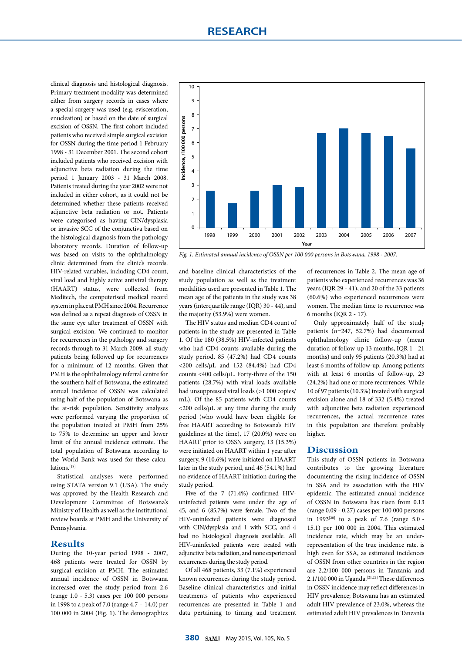clinical diagnosis and histological diagnosis. Primary treatment modality was determined either from surgery records in cases where a special surgery was used (e.g. evisceration, enucleation) or based on the date of surgical excision of OSSN. The first cohort included patients who received simple surgical excision for OSSN during the time period 1 February 1998 - 31 December 2001. The second cohort included patients who received excision with adjunctive beta radiation during the time period 1 January 2003 - 31 March 2008. Patients treated during the year 2002 were not included in either cohort, as it could not be determined whether these patients received adjunctive beta radiation or not. Patients were categorised as having CIN/dysplasia or invasive SCC of the conjunctiva based on the histological diagnosis from the pathology laboratory records. Duration of follow-up was based on visits to the ophthalmology clinic determined from the clinic's records. HIV-related variables, including CD4 count, viral load and highly active antiviral therapy (HAART) status, were collected from Meditech, the computerised medical record system in place at PMH since 2004. Recurrence was defined as a repeat diagnosis of OSSN in the same eye after treatment of OSSN with surgical excision. We continued to monitor for recurrences in the pathology and surgery records through to 31 March 2009, all study patients being followed up for recurrences for a minimum of 12 months. Given that PMH is the ophthalmology referral centre for the southern half of Botswana, the estimated annual incidence of OSSN was calculated using half of the population of Botswana as the at-risk population. Sensitivity analyses were performed varying the proportion of the population treated at PMH from 25% to 75% to determine an upper and lower limit of the annual incidence estimate. The total population of Botswana according to the World Bank was used for these calculations.[19]

Statistical analyses were performed using STATA version 9.1 (USA). The study was approved by the Health Research and Development Committee of Botswana's Ministry of Health as well as the institutional review boards at PMH and the University of Pennsylvania.

#### **Results**

During the 10-year period 1998 - 2007, 468 patients were treated for OSSN by surgical excision at PMH. The estimated annual incidence of OSSN in Botswana increased over the study period from 2.6 (range 1.0 - 5.3) cases per 100 000 persons in 1998 to a peak of 7.0 (range 4.7 - 14.0) per 100 000 in 2004 (Fig. 1). The demographics



*Fig. 1. Estimated annual incidence of OSSN per 100 000 persons in Botswana, 1998 - 2007.*

and baseline clinical characteristics of the study population as well as the treatment modalities used are presented in Table 1. The mean age of the patients in the study was 38 years (interquartile range (IQR) 30 - 44), and the majority (53.9%) were women.

The HIV status and median CD4 count of patients in the study are presented in Table 1. Of the 180 (38.5%) HIV-infected patients who had CD4 counts available during the study period, 85 (47.2%) had CD4 counts <200 cells/µL and 152 (84.4%) had CD4 counts <400 cells/µL. Forty-three of the 150 patients (28.7%) with viral loads available had unsuppressed viral loads (>1 000 copies/ mL). Of the 85 patients with CD4 counts  $\langle$ 200 cells/ $\mu$ L at any time during the study period (who would have been eligible for free HAART according to Botswana's HIV guidelines at the time), 17 (20.0%) were on HAART prior to OSSN surgery, 13 (15.3%) were initiated on HAART within 1 year after surgery, 9 (10.6%) were initiated on HAART later in the study period, and 46 (54.1%) had no evidence of HAART initiation during the study period.

Five of the 7 (71.4%) confirmed HIVuninfected patients were under the age of 45, and 6 (85.7%) were female. Two of the HIV-uninfected patients were diagnosed with CIN/dysplasia and 1 with SCC, and 4 had no histological diagnosis available. All HIV-uninfected patients were treated with adjunctive beta radiation, and none experienced recurrences during the study period.

Of all 468 patients, 33 (7.1%) experienced known recurrences during the study period. Baseline clinical characteristics and initial treatments of patients who experienced recurrences are presented in Table 1 and data pertaining to timing and treatment of recurrences in Table 2. The mean age of patients who experienced recurrences was 36 years (IQR 29 - 41), and 20 of the 33 patients (60.6%) who experienced recurrences were women. The median time to recurrence was 6 months (IQR 2 - 17).

Only approximately half of the study patients (*n*=247, 52.7%) had documented ophthalmology clinic follow-up (mean duration of follow-up 13 months, IQR 1 - 21 months) and only 95 patients (20.3%) had at least 6 months of follow-up. Among patients with at least 6 months of follow-up, 23 (24.2%) had one or more recurrences. While 10 of 97 patients (10.3%) treated with surgical excision alone and 18 of 332 (5.4%) treated with adjunctive beta radiation experienced recurrences, the actual recurrence rates in this population are therefore probably higher.

### **Discussion**

This study of OSSN patients in Botswana contributes to the growing literature documenting the rising incidence of OSSN in SSA and its association with the HIV epidemic. The estimated annual incidence of OSSN in Botswana has risen from 0.13 (range 0.09 - 0.27) cases per 100 000 persons in 1993<sup>[20]</sup> to a peak of 7.6 (range 5.0 -15.1) per 100 000 in 2004. This estimated incidence rate, which may be an underrepresentation of the true incidence rate, is high even for SSA, as estimated incidences of OSSN from other countries in the region are 2.2/100 000 persons in Tanzania and 2.1/100 000 in Uganda.<sup>[21,22]</sup> These differences in OSSN incidence may reflect differences in HIV prevalence; Botswana has an estimated adult HIV prevalence of 23.0%, whereas the estimated adult HIV prevalences in Tanzania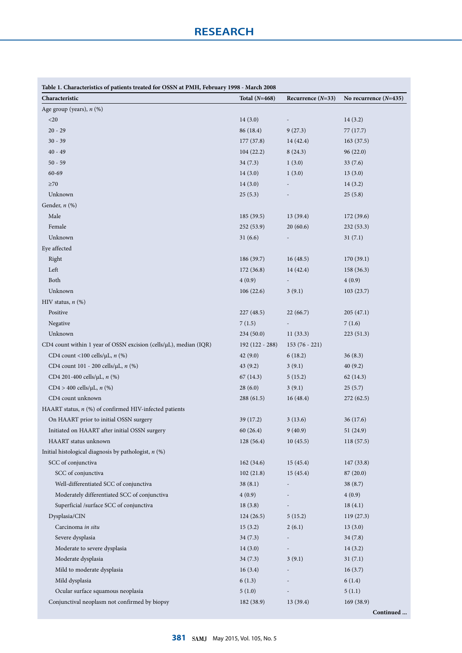| Table 1. Characteristics of patients treated for OSSN at PMH, February 1998 - March 2008 |                 |                          |                         |  |  |
|------------------------------------------------------------------------------------------|-----------------|--------------------------|-------------------------|--|--|
| Characteristic                                                                           | Total $(N=468)$ | Recurrence $(N=33)$      | No recurrence $(N=435)$ |  |  |
| Age group (years), n (%)                                                                 |                 |                          |                         |  |  |
| $<$ 20                                                                                   | 14(3.0)         |                          | 14(3.2)                 |  |  |
| $20 - 29$                                                                                | 86 (18.4)       | 9(27.3)                  | 77 (17.7)               |  |  |
| $30 - 39$                                                                                | 177 (37.8)      | 14 (42.4)                | 163(37.5)               |  |  |
| $40 - 49$                                                                                | 104(22.2)       | 8(24.3)                  | 96(22.0)                |  |  |
| $50 - 59$                                                                                | 34(7.3)         | 1(3.0)                   | 33(7.6)                 |  |  |
| 60-69                                                                                    | 14(3.0)         | 1(3.0)                   | 13(3.0)                 |  |  |
| ${\geq}70$                                                                               | 14(3.0)         |                          | 14(3.2)                 |  |  |
| Unknown                                                                                  | 25(5.3)         |                          | 25(5.8)                 |  |  |
| Gender, $n$ (%)                                                                          |                 |                          |                         |  |  |
| Male                                                                                     | 185(39.5)       | 13 (39.4)                | 172(39.6)               |  |  |
| Female                                                                                   | 252(53.9)       | 20(60.6)                 | 232(53.3)               |  |  |
| Unknown                                                                                  | 31(6.6)         |                          | 31(7.1)                 |  |  |
| Eye affected                                                                             |                 |                          |                         |  |  |
| Right                                                                                    | 186 (39.7)      | 16(48.5)                 | 170(39.1)               |  |  |
| Left                                                                                     | 172(36.8)       | 14 (42.4)                | 158 (36.3)              |  |  |
| Both                                                                                     | 4(0.9)          |                          | 4(0.9)                  |  |  |
| Unknown                                                                                  | 106(22.6)       | 3(9.1)                   | 103(23.7)               |  |  |
| HIV status, $n$ (%)                                                                      |                 |                          |                         |  |  |
| Positive                                                                                 | 227 (48.5)      | 22(66.7)                 | 205(47.1)               |  |  |
| Negative                                                                                 | 7(1.5)          | $\overline{\phantom{a}}$ | 7(1.6)                  |  |  |
| Unknown                                                                                  | 234(50.0)       | 11(33.3)                 | 223 (51.3)              |  |  |
| CD4 count within 1 year of OSSN excision (cells/µL), median (IQR)                        | 192 (122 - 288) | $153(76 - 221)$          |                         |  |  |
| CD4 count <100 cells/ $\mu$ L, $n$ (%)                                                   | 42(9.0)         | 6(18.2)                  | 36(8.3)                 |  |  |
| CD4 count 101 - 200 cells/µL, n (%)                                                      | 43(9.2)         | 3(9.1)                   | 40(9.2)                 |  |  |
| CD4 201-400 cells/µL, n (%)                                                              | 67(14.3)        | 5(15.2)                  | 62 (14.3)               |  |  |
| CD4 > 400 cells/ $\mu$ L, <i>n</i> (%)                                                   | 28(6.0)         | 3(9.1)                   | 25(5.7)                 |  |  |
| CD4 count unknown                                                                        | 288 (61.5)      | 16(48.4)                 | 272 (62.5)              |  |  |
| HAART status, $n$ (%) of confirmed HIV-infected patients                                 |                 |                          |                         |  |  |
| On HAART prior to initial OSSN surgery                                                   | 39 (17.2)       | 3(13.6)                  | 36 (17.6)               |  |  |
| Initiated on HAART after initial OSSN surgery                                            | 60 (26.4)       | 9(40.9)                  | 51(24.9)                |  |  |
| HAART status unknown                                                                     | 128(56.4)       | 10(45.5)                 | 118 (57.5)              |  |  |
| Initial histological diagnosis by pathologist, $n$ (%)                                   |                 |                          |                         |  |  |
| SCC of conjunctiva                                                                       | 162(34.6)       | 15(45.4)                 | 147 (33.8)              |  |  |
| SCC of conjunctiva                                                                       | 102(21.8)       | 15(45.4)                 | 87 (20.0)               |  |  |
| Well-differentiated SCC of conjunctiva                                                   | 38(8.1)         |                          | 38 (8.7)                |  |  |
| Moderately differentiated SCC of conjunctiva                                             | 4(0.9)          |                          | 4(0.9)                  |  |  |
| Superficial /surface SCC of conjunctiva                                                  | 18(3.8)         |                          | 18(4.1)                 |  |  |
| Dysplasia/CIN                                                                            | 124(26.5)       | 5(15.2)                  | 119(27.3)               |  |  |
| Carcinoma in situ                                                                        | 15(3.2)         | 2(6.1)                   | 13(3.0)                 |  |  |
| Severe dysplasia                                                                         | 34(7.3)         |                          | 34 (7.8)                |  |  |
| Moderate to severe dysplasia                                                             | 14(3.0)         |                          | 14(3.2)                 |  |  |
| Moderate dysplasia                                                                       | 34(7.3)         | 3(9.1)                   | 31(7.1)                 |  |  |
| Mild to moderate dysplasia                                                               | 16(3.4)         | $\overline{\phantom{a}}$ | 16(3.7)                 |  |  |
| Mild dysplasia                                                                           | 6(1.3)          |                          | 6(1.4)                  |  |  |
| Ocular surface squamous neoplasia                                                        | 5(1.0)          |                          | 5(1.1)                  |  |  |
| Conjunctival neoplasm not confirmed by biopsy                                            | 182 (38.9)      | 13 (39.4)                | 169(38.9)               |  |  |
|                                                                                          |                 |                          | Continued               |  |  |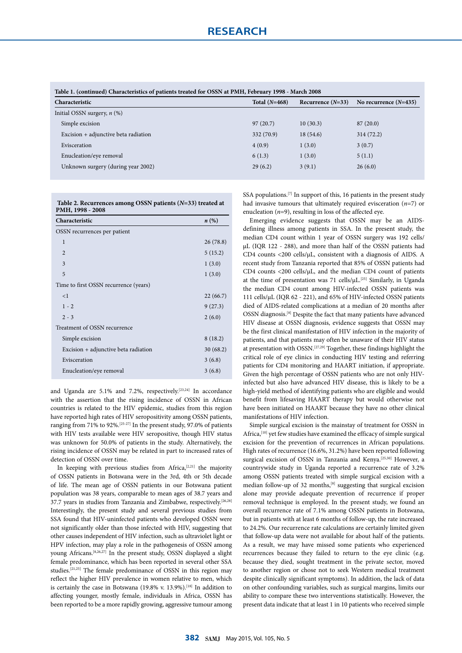| Characteristic                       | Total $(N=468)$ | Recurrence $(N=33)$ | No recurrence $(N=435)$ |
|--------------------------------------|-----------------|---------------------|-------------------------|
| Initial OSSN surgery, $n$ (%)        |                 |                     |                         |
| Simple excision                      | 97(20.7)        | 10(30.3)            | 87(20.0)                |
| Excision + adjunctive beta radiation | 332 (70.9)      | 18(54.6)            | 314(72.2)               |
| Evisceration                         | 4(0.9)          | 1(3.0)              | 3(0.7)                  |
| Enucleation/eye removal              | 6(1.3)          | 1(3.0)              | 5(1.1)                  |
| Unknown surgery (during year 2002)   | 29(6.2)         | 3(9.1)              | 26(6.0)                 |

**Table 2. Recurrences among OSSN patients (***N***=33) treated at PMH, 1998 - 2008** 

| Characteristic                        | n(%)     |
|---------------------------------------|----------|
| OSSN recurrences per patient          |          |
| 1                                     | 26(78.8) |
| $\overline{2}$                        | 5(15.2)  |
| 3                                     | 1(3.0)   |
| 5                                     | 1(3.0)   |
| Time to first OSSN recurrence (years) |          |
| $\leq$ 1                              | 22(66.7) |
| $1 - 2$                               | 9(27.3)  |
| $2 - 3$                               | 2(6.0)   |
| Treatment of OSSN recurrence          |          |
| Simple excision                       | 8(18.2)  |
| Excision + adjunctive beta radiation  | 30(68.2) |
| Evisceration                          | 3(6.8)   |
| Enucleation/eye removal               | 3(6.8)   |
|                                       |          |

and Uganda are 5.1% and 7.2%, respectively.[23,24] In accordance with the assertion that the rising incidence of OSSN in African countries is related to the HIV epidemic, studies from this region have reported high rates of HIV seropositivity among OSSN patients, ranging from 71% to 92%.[25-27] In the present study, 97.0% of patients with HIV tests available were HIV seropositive, though HIV status was unknown for 50.0% of patients in the study. Alternatively, the rising incidence of OSSN may be related in part to increased rates of detection of OSSN over time.

In keeping with previous studies from Africa, $[2,21]$  the majority of OSSN patients in Botswana were in the 3rd, 4th or 5th decade of life. The mean age of OSSN patients in our Botswana patient population was 38 years, comparable to mean ages of 38.7 years and 37.7 years in studies from Tanzania and Zimbabwe, respectively.<sup>[26,28]</sup> Interestingly, the present study and several previous studies from SSA found that HIV-uninfected patients who developed OSSN were not significantly older than those infected with HIV, suggesting that other causes independent of HIV infection, such as ultraviolet light or HPV infection, may play a role in the pathogenesis of OSSN among young Africans.[8,26,27] In the present study, OSSN displayed a slight female predominance, which has been reported in several other SSA studies.[21,25] The female predominance of OSSN in this region may reflect the higher HIV prevalence in women relative to men, which is certainly the case in Botswana (19.8% v. 13.9%).<sup>[18]</sup> In addition to affecting younger, mostly female, individuals in Africa, OSSN has been reported to be a more rapidly growing, aggressive tumour among SSA populations.<sup>[7]</sup> In support of this, 16 patients in the present study had invasive tumours that ultimately required evisceration (*n*=7) or enucleation (*n*=9), resulting in loss of the affected eye.

Emerging evidence suggests that OSSN may be an AIDSdefining illness among patients in SSA. In the present study, the median CD4 count within 1 year of OSSN surgery was 192 cells/ µL (IQR 122 - 288), and more than half of the OSSN patients had CD4 counts <200 cells/µL, consistent with a diagnosis of AIDS. A recent study from Tanzania reported that 85% of OSSN patients had CD4 counts <200 cells/ $\mu$ L, and the median CD4 count of patients at the time of presentation was 71 cells/µL.[25] Similarly, in Uganda the median CD4 count among HIV-infected OSSN patients was 111 cells/µL (IQR 62 - 221), and 65% of HIV-infected OSSN patients died of AIDS-related complications at a median of 20 months after OSSN diagnosis.[8] Despite the fact that many patients have advanced HIV disease at OSSN diagnosis, evidence suggests that OSSN may be the first clinical manifestation of HIV infection in the majority of patients, and that patients may often be unaware of their HIV status at presentation with OSSN.[27,29] Together, these findings highlight the critical role of eye clinics in conducting HIV testing and referring patients for CD4 monitoring and HAART initiation, if appropriate. Given the high percentage of OSSN patients who are not only HIVinfected but also have advanced HIV disease, this is likely to be a high-yield method of identifying patients who are eligible and would benefit from lifesaving HAART therapy but would otherwise not have been initiated on HAART because they have no other clinical manifestations of HIV infection.

Simple surgical excision is the mainstay of treatment for OSSN in Africa,<sup>[10]</sup> yet few studies have examined the efficacy of simple surgical excision for the prevention of recurrences in African populations. High rates of recurrence (16.6%, 31.2%) have been reported following surgical excision of OSSN in Tanzania and Kenya.<sup>[25,30]</sup> However, a countrywide study in Uganda reported a recurrence rate of 3.2% among OSSN patients treated with simple surgical excision with a median follow-up of 32 months,<sup>[8]</sup> suggesting that surgical excision alone may provide adequate prevention of recurrence if proper removal technique is employed. In the present study, we found an overall recurrence rate of 7.1% among OSSN patients in Botswana, but in patients with at least 6 months of follow-up, the rate increased to 24.2%. Our recurrence rate calculations are certainly limited given that follow-up data were not available for about half of the patients. As a result, we may have missed some patients who experienced recurrences because they failed to return to the eye clinic (e.g. because they died, sought treatment in the private sector, moved to another region or chose not to seek Western medical treatment despite clinically significant symptoms). In addition, the lack of data on other confounding variables, such as surgical margins, limits our ability to compare these two interventions statistically. However, the present data indicate that at least 1 in 10 patients who received simple